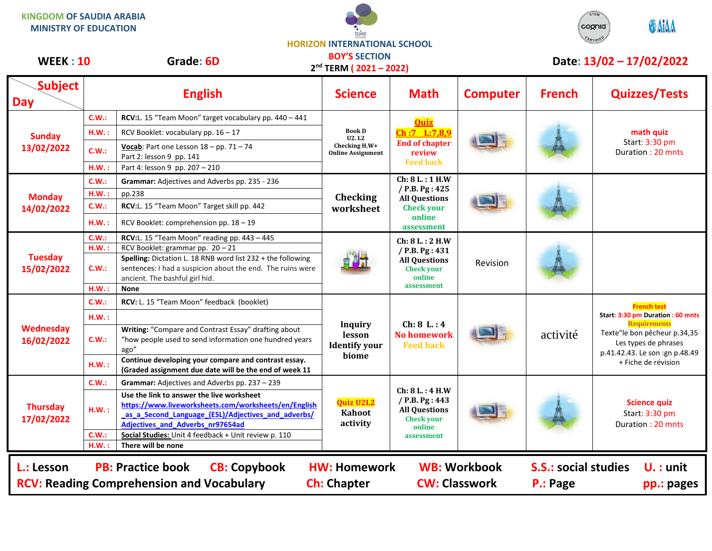**KINGDOM OF SAUDIA ARABIA MINISTRY OF EDUCATION**





## **HORIZON INTERNATIONAL SCHOOL BOY'S SECTION**

| <b>WEEK: 10</b>                                                                                                                                                                                                                                                                       |          | <b>DUT 3 SECTIUN</b><br>Grade: 6D<br>$2nd$ TERM ( $2021 - 2022$ )                                                                                                                                  |                                                                            |                                                                                                           | Date: 13/02 - 17/02/2022 |               |                                                                                                                                                                                                |  |
|---------------------------------------------------------------------------------------------------------------------------------------------------------------------------------------------------------------------------------------------------------------------------------------|----------|----------------------------------------------------------------------------------------------------------------------------------------------------------------------------------------------------|----------------------------------------------------------------------------|-----------------------------------------------------------------------------------------------------------|--------------------------|---------------|------------------------------------------------------------------------------------------------------------------------------------------------------------------------------------------------|--|
| <b>Subject</b><br><b>Day</b>                                                                                                                                                                                                                                                          |          | <b>English</b>                                                                                                                                                                                     | <b>Science</b>                                                             | <b>Math</b>                                                                                               | <b>Computer</b>          | <b>French</b> | <b>Quizzes/Tests</b>                                                                                                                                                                           |  |
| <b>Sunday</b><br>13/02/2022                                                                                                                                                                                                                                                           | C.W.:    | RCV:L. 15 "Team Moon" target vocabulary pp. 440 - 441                                                                                                                                              | <b>Book D</b><br><b>U2.L2</b><br>Checking H.W+<br><b>Online Assignment</b> | <b>Ouiz</b><br>Ch:7 L:7,8,9<br><b>End of chapter</b><br>review<br><b>Feed back</b>                        |                          |               | math quiz<br>Start: 3:30 pm<br>Duration: 20 mnts                                                                                                                                               |  |
|                                                                                                                                                                                                                                                                                       | H.W.:    | RCV Booklet: vocabulary pp. 16 - 17                                                                                                                                                                |                                                                            |                                                                                                           |                          |               |                                                                                                                                                                                                |  |
|                                                                                                                                                                                                                                                                                       | C.W.:    | Vocab: Part one Lesson $18 - pp$ . 71 - 74<br>Part 2: lesson 9 pp. 141                                                                                                                             |                                                                            |                                                                                                           |                          |               |                                                                                                                                                                                                |  |
|                                                                                                                                                                                                                                                                                       | H.W.:    | Part 4: lesson 9 pp. 207 - 210                                                                                                                                                                     |                                                                            |                                                                                                           |                          |               |                                                                                                                                                                                                |  |
| <b>Monday</b><br>14/02/2022                                                                                                                                                                                                                                                           | C.W.:    | Grammar: Adjectives and Adverbs pp. 235 - 236                                                                                                                                                      | <b>Checking</b><br>worksheet                                               | Ch: 8 L.: 1 H.W<br>/ P.B. Pg: 425<br><b>All Questions</b><br><b>Check your</b><br>online<br>assessment    |                          |               |                                                                                                                                                                                                |  |
|                                                                                                                                                                                                                                                                                       | $H.W.$ : | pp.238                                                                                                                                                                                             |                                                                            |                                                                                                           |                          |               |                                                                                                                                                                                                |  |
|                                                                                                                                                                                                                                                                                       | C.W.:    | RCV:L. 15 "Team Moon" Target skill pp. 442                                                                                                                                                         |                                                                            |                                                                                                           |                          |               |                                                                                                                                                                                                |  |
|                                                                                                                                                                                                                                                                                       | H.W.:    | RCV Booklet: comprehension pp. 18 - 19                                                                                                                                                             |                                                                            |                                                                                                           |                          |               |                                                                                                                                                                                                |  |
| <b>Tuesday</b><br>15/02/2022                                                                                                                                                                                                                                                          | C.W.     | RCV:L. 15 "Team Moon" reading pp. 443 - 445                                                                                                                                                        |                                                                            | Ch: 8 L.: 2 H.W<br>$/$ P.B. Pg : 431<br><b>All Questions</b><br><b>Check your</b><br>online<br>assessment | Revision                 |               |                                                                                                                                                                                                |  |
|                                                                                                                                                                                                                                                                                       | H.W.     | RCV Booklet: grammar pp. 20 - 21                                                                                                                                                                   |                                                                            |                                                                                                           |                          |               |                                                                                                                                                                                                |  |
|                                                                                                                                                                                                                                                                                       | C.W.:    | Spelling: Dictation L. 18 RNB word list 232 + the following<br>sentences: I had a suspicion about the end. The ruins were<br>ancient. The bashful girl hid.                                        |                                                                            |                                                                                                           |                          |               |                                                                                                                                                                                                |  |
|                                                                                                                                                                                                                                                                                       | H.W.     | <b>None</b>                                                                                                                                                                                        |                                                                            |                                                                                                           |                          |               |                                                                                                                                                                                                |  |
|                                                                                                                                                                                                                                                                                       | C.W.:    | RCV: L. 15 "Team Moon" feedback (booklet)                                                                                                                                                          |                                                                            | Ch: 8 L: 4<br><b>No homework</b><br><b>Feed back</b>                                                      |                          | activité      | <b>French test</b><br>Start: 3:30 pm Duration: 60 mnts<br><b>Requirements</b><br>Texte"le bon pêcheur p.34,35<br>Les types de phrases<br>p.41.42.43. Le son :gn p.48.49<br>+ Fiche de révision |  |
|                                                                                                                                                                                                                                                                                       | H.W.:    |                                                                                                                                                                                                    |                                                                            |                                                                                                           |                          |               |                                                                                                                                                                                                |  |
| Wednesday<br>16/02/2022                                                                                                                                                                                                                                                               | C.W.:    | Writing: "Compare and Contrast Essay" drafting about<br>"how people used to send information one hundred years<br>ago"                                                                             | <b>Inquiry</b><br>lesson<br><b>Identify your</b><br>biome                  |                                                                                                           |                          |               |                                                                                                                                                                                                |  |
|                                                                                                                                                                                                                                                                                       | H.W.:    | Continue developing your compare and contrast essay.<br>(Graded assignment due date will be the end of week 11                                                                                     |                                                                            |                                                                                                           |                          |               |                                                                                                                                                                                                |  |
| <b>Thursday</b><br>17/02/2022                                                                                                                                                                                                                                                         | C.W.:    | Grammar: Adjectives and Adverbs pp. 237 - 239                                                                                                                                                      | <b>Quiz U2L2</b><br>Kahoot<br>activity                                     | Ch: 8 L.: 4 H.W<br>$/$ P.B. Pg : 443<br><b>All Questions</b><br><b>Check your</b><br>online<br>assessment |                          |               | <b>Science quiz</b><br>Start: 3:30 pm<br>Duration: 20 mnts                                                                                                                                     |  |
|                                                                                                                                                                                                                                                                                       | H.W.:    | Use the link to answer the live worksheet<br>https://www.liveworksheets.com/worksheets/en/English<br>as_a_Second_Language_(ESL)/Adjectives_and_adverbs/<br><b>Adjectives and Adverbs nr97654ad</b> |                                                                            |                                                                                                           |                          |               |                                                                                                                                                                                                |  |
|                                                                                                                                                                                                                                                                                       | C.W.     | Social Studies: Unit 4 feedback + Unit review p. 110                                                                                                                                               |                                                                            |                                                                                                           |                          |               |                                                                                                                                                                                                |  |
|                                                                                                                                                                                                                                                                                       | H.W.     | There will be none                                                                                                                                                                                 |                                                                            |                                                                                                           |                          |               |                                                                                                                                                                                                |  |
| <b>PB: Practice book</b><br><b>CB: Copybook</b><br><b>WB: Workbook</b><br><b>S.S.: social studies</b><br>L.: Lesson<br><b>HW: Homework</b><br>$U.$ : unit<br><b>RCV: Reading Comprehension and Vocabulary</b><br><b>CW: Classwork</b><br><b>Ch: Chapter</b><br>P.: Page<br>pp.: pages |          |                                                                                                                                                                                                    |                                                                            |                                                                                                           |                          |               |                                                                                                                                                                                                |  |